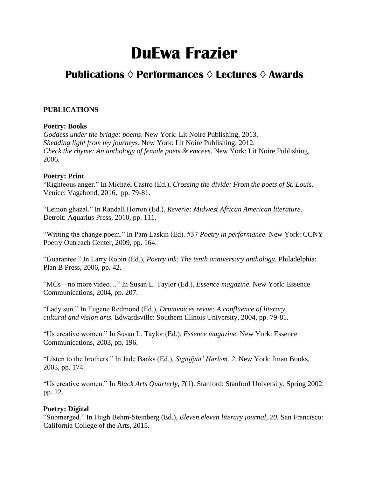# **DuEwa Frazier**

# **Publications ◊ Performances ◊ Lectures ◊ Awards**

# **PUBLICATIONS**

# **Poetry: Books**

*Goddess under the bridge: poems*. New York: Lit Noire Publishing, 2013. *Shedding light from my journeys*. New York: Lit Noire Publishing, 2012. *Check the rhyme: An anthology of female poets & emcees*. New York: Lit Noire Publishing, 2006.

## **Poetry: Print**

"Righteous anger." In Michael Castro (Ed.), *Crossing the divide: From the poets of St. Louis*. Venice: Vagabond, 2016, pp. 79-81.

"Lemon ghazal." In Randall Horton (Ed.), *Reverie: Midwest African American literature*. Detroit: Aquarius Press, 2010, pp. 111.

"Writing the change poem." In Pam Laskin (Ed). #37 *Poetry in performance.* New York: CCNY Poetry Outreach Center, 2009, pp. 164.

"Guarantee." In Larry Robin (Ed.), *Poetry ink: The tenth anniversary anthology.* Philadelphia: Plan B Press, 2006, pp. 42.

"MCs – no more video…" In Susan L. Taylor (Ed.), *Essence magazine*. New York: Essence Communications, 2004, pp. 207.

"Lady sun." In Eugene Redmond (Ed.), *Drumvoices revue: A confluence of literary, cultural and vision arts.* Edwardsville: Southern Illinois University, 2004, pp. 79-81.

"Us creative women." In Susan L. Taylor (Ed.), *Essence magazine.* New York: Essence Communications, 2003, pp. 196.

"Listen to the brothers." In Jade Banks (Ed.), *Signifyin' Harlem, 2.* New York: Iman Books, 2003, pp. 174.

"Us creative women." In *Black Arts Quarterly, 7*(1). Stanford: Stanford University, Spring 2002, pp. 22.

# **Poetry: Digital**

"Submerged." In Hugh Behm-Steinberg (Ed.), *Eleven eleven literary journal, 20.* San Francisco: California College of the Arts, 2015.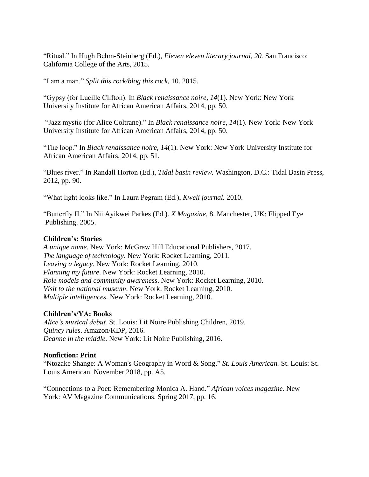"Ritual." In Hugh Behm-Steinberg (Ed.), *Eleven eleven literary journal, 20.* San Francisco: California College of the Arts, 2015.

"I am a man." *Split this rock/blog this rock*, 10. 2015.

"Gypsy (for Lucille Clifton). In *Black renaissance noire, 14*(1). New York: New York University Institute for African American Affairs, 2014, pp. 50.

"Jazz mystic (for Alice Coltrane)." In *Black renaissance noire, 14*(1). New York: New York University Institute for African American Affairs, 2014, pp. 50.

"The loop." In *Black renaissance noire, 14*(1). New York: New York University Institute for African American Affairs, 2014, pp. 51.

"Blues river." In Randall Horton (Ed.), *Tidal basin review.* Washington, D.C.: Tidal Basin Press, 2012, pp. 90.

"What light looks like." In Laura Pegram (Ed.), *Kweli journal.* 2010.

"Butterfly II." In Nii Ayikwei Parkes (Ed.). *X Magazine*, 8. Manchester, UK: Flipped Eye Publishing. 2005.

### **Children's: Stories**

*A unique name*. New York: McGraw Hill Educational Publishers, 2017. *The language of technology*. New York: Rocket Learning, 2011. *Leaving a legacy*. New York: Rocket Learning, 2010. *Planning my future*. New York: Rocket Learning, 2010. *Role models and community awareness*. New York: Rocket Learning, 2010. *Visit to the national museum*. New York: Rocket Learning, 2010. *Multiple intelligences*. New York: Rocket Learning, 2010.

#### **Children's/YA: Books**

*Alice's musical debut.* St. Louis: Lit Noire Publishing Children, 2019. *Quincy rules*. Amazon/KDP, 2016. *Deanne in the middle*. New York: Lit Noire Publishing, 2016.

#### **Nonfiction: Print**

"Ntozake Shange: A Woman's Geography in Word & Song." *St. Louis American.* St. Louis: St. Louis American. November 2018, pp. A5.

"Connections to a Poet: Remembering Monica A. Hand." *African voices magazine*. New York: AV Magazine Communications. Spring 2017, pp. 16.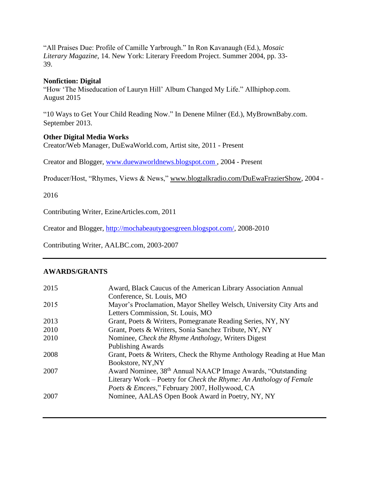"All Praises Due: Profile of Camille Yarbrough." In Ron Kavanaugh (Ed.), *Mosaic Literary Magazine,* 14. New York: Literary Freedom Project. Summer 2004, pp. 33- 39.

#### **Nonfiction: Digital**

"How 'The Miseducation of Lauryn Hill' Album Changed My Life." Allhiphop.com. August 2015

"10 Ways to Get Your Child Reading Now." In Denene Milner (Ed.), MyBrownBaby.com. September 2013.

#### **Other Digital Media Works**

Creator/Web Manager, DuEwaWorld.com, Artist site, 2011 - Present

Creator and Blogger, [www.duewaworldnews.blogspot.com ,](http://www.duewaworldnews.blogspot.com/) 2004 - Present

Producer/Host, "Rhymes, Views & News," [www.blogtalkradio.com/DuEwaFrazierShow,](http://www.blogtalkradio.com/DuEwaFrazierShow) 2004 -

2016

Contributing Writer, EzineArticles.com, 2011

Creator and Blogger, [http://mochabeautygoesgreen.blogspot.com/,](http://mochabeautygoesgreen.blogspot.com/) 2008-2010

Contributing Writer, AALBC.com, 2003-2007

#### **AWARDS/GRANTS**

| 2015 | Award, Black Caucus of the American Library Association Annual          |
|------|-------------------------------------------------------------------------|
|      | Conference, St. Louis, MO                                               |
| 2015 | Mayor's Proclamation, Mayor Shelley Welsch, University City Arts and    |
|      | Letters Commission, St. Louis, MO                                       |
| 2013 | Grant, Poets & Writers, Pomegranate Reading Series, NY, NY              |
| 2010 | Grant, Poets & Writers, Sonia Sanchez Tribute, NY, NY                   |
| 2010 | Nominee, <i>Check the Rhyme Anthology</i> , Writers Digest              |
|      | <b>Publishing Awards</b>                                                |
| 2008 | Grant, Poets & Writers, Check the Rhyme Anthology Reading at Hue Man    |
|      | Bookstore, NY, NY                                                       |
| 2007 | Award Nominee, 38 <sup>th</sup> Annual NAACP Image Awards, "Outstanding |
|      | Literary Work – Poetry for Check the Rhyme: An Anthology of Female      |
|      | Poets & Emcees," February 2007, Hollywood, CA                           |
| 2007 | Nominee, AALAS Open Book Award in Poetry, NY, NY                        |
|      |                                                                         |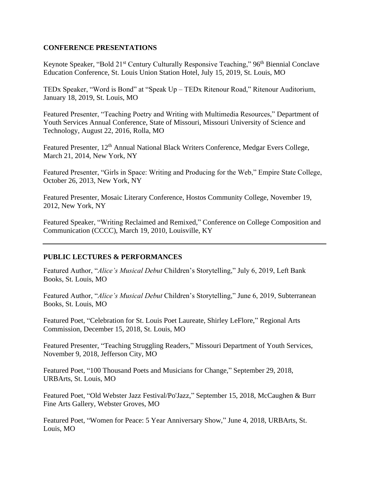## **CONFERENCE PRESENTATIONS**

Keynote Speaker, "Bold 21<sup>st</sup> Century Culturally Responsive Teaching," 96<sup>th</sup> Biennial Conclave Education Conference, St. Louis Union Station Hotel, July 15, 2019, St. Louis, MO

TEDx Speaker, "Word is Bond" at "Speak Up – TEDx Ritenour Road," Ritenour Auditorium, January 18, 2019, St. Louis, MO

Featured Presenter, "Teaching Poetry and Writing with Multimedia Resources," Department of Youth Services Annual Conference, State of Missouri, Missouri University of Science and Technology, August 22, 2016, Rolla, MO

Featured Presenter, 12<sup>th</sup> Annual National Black Writers Conference, Medgar Evers College, March 21, 2014, New York, NY

Featured Presenter, "Girls in Space: Writing and Producing for the Web," Empire State College, October 26, 2013, New York, NY

Featured Presenter, Mosaic Literary Conference, Hostos Community College, November 19, 2012, New York, NY

Featured Speaker, "Writing Reclaimed and Remixed," Conference on College Composition and Communication (CCCC), March 19, 2010, Louisville, KY

# **PUBLIC LECTURES & PERFORMANCES**

Featured Author, "*Alice's Musical Debut* Children's Storytelling," July 6, 2019, Left Bank Books, St. Louis, MO

Featured Author, "*Alice's Musical Debut* Children's Storytelling," June 6, 2019, Subterranean Books, St. Louis, MO

Featured Poet, "Celebration for St. Louis Poet Laureate, Shirley LeFlore," Regional Arts Commission, December 15, 2018, St. Louis, MO

Featured Presenter, "Teaching Struggling Readers," Missouri Department of Youth Services, November 9, 2018, Jefferson City, MO

Featured Poet, "100 Thousand Poets and Musicians for Change," September 29, 2018, URBArts, St. Louis, MO

Featured Poet, "Old Webster Jazz Festival/Po'Jazz," September 15, 2018, McCaughen & Burr Fine Arts Gallery, Webster Groves, MO

Featured Poet, "Women for Peace: 5 Year Anniversary Show," June 4, 2018, URBArts, St. Louis, MO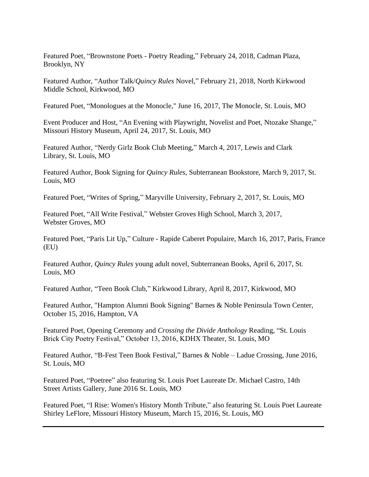Featured Poet, "Brownstone Poets - Poetry Reading," February 24, 2018, Cadman Plaza, Brooklyn, NY

Featured Author, "Author Talk/*Quincy Rules* Novel," February 21, 2018, North Kirkwood Middle School, Kirkwood, MO

Featured Poet, "Monologues at the Monocle," June 16, 2017, The Monocle, St. Louis, MO

Event Producer and Host, "An Evening with Playwright, Novelist and Poet, Ntozake Shange," Missouri History Museum, April 24, 2017, St. Louis, MO

Featured Author, "Nerdy Girlz Book Club Meeting," March 4, 2017, Lewis and Clark Library, St. Louis, MO

Featured Author, Book Signing for *Quincy Rules*, Subterranean Bookstore, March 9, 2017, St. Louis, MO

Featured Poet, "Writes of Spring," Maryville University, February 2, 2017, St. Louis, MO

Featured Poet, "All Write Festival," Webster Groves High School, March 3, 2017, Webster Groves, MO

Featured Poet, "Paris Lit Up," Culture - Rapide Caberet Populaire, March 16, 2017, Paris, France (EU)

Featured Author, *Quincy Rules* young adult novel, Subterranean Books, April 6, 2017, St. Louis, MO

Featured Author, "Teen Book Club," Kirkwood Library, April 8, 2017, Kirkwood, MO

Featured Author, "Hampton Alumni Book Signing" Barnes & Noble Peninsula Town Center, October 15, 2016, Hampton, VA

Featured Poet, Opening Ceremony and *Crossing the Divide Anthology* Reading, "St. Louis Brick City Poetry Festival," October 13, 2016, KDHX Theater, St. Louis, MO

Featured Author, "B-Fest Teen Book Festival," Barnes & Noble – Ladue Crossing, June 2016, St. Louis, MO

Featured Poet, "Poetree" also featuring St. Louis Poet Laureate Dr. Michael Castro, 14th Street Artists Gallery, June 2016 St. Louis, MO

Featured Poet, "I Rise: Women's History Month Tribute," also featuring St. Louis Poet Laureate Shirley LeFlore, Missouri History Museum, March 15, 2016, St. Louis, MO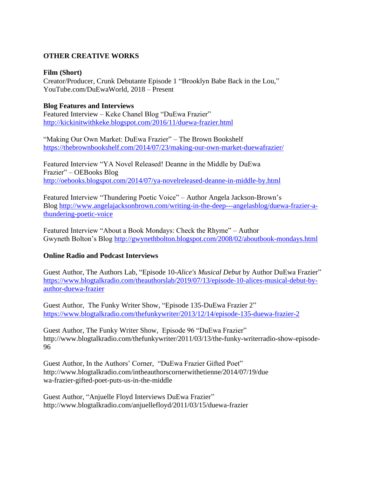# **OTHER CREATIVE WORKS**

#### **Film (Short)**

Creator/Producer, Crunk Debutante Episode 1 "Brooklyn Babe Back in the Lou," YouTube.com/DuEwaWorld, 2018 – Present

# **Blog Features and Interviews**

Featured Interview – Keke Chanel Blog "DuEwa Frazier" <http://kickinitwithkeke.blogspot.com/2016/11/duewa-frazier.html>

"Making Our Own Market: DuEwa Frazier" – The Brown Bookshelf <https://thebrownbookshelf.com/2014/07/23/making-our-own-market-duewafrazier/>

Featured Interview "YA Novel Released! Deanne in the Middle by DuEwa Frazier" – OEBooks Blog <http://oebooks.blogspot.com/2014/07/ya-novelreleased-deanne-in-middle-by.html>

Featured Interview "Thundering Poetic Voice" – Author Angela Jackson-Brown's Blog [http://www.angelajacksonbrown.com/writing-in-the-deep---angelasblog/duewa-frazier-a](http://www.angelajacksonbrown.com/writing-in-the-deep---angelasblog/duewa-frazier-a-thundering-poetic-voice)[thundering-poetic-voice](http://www.angelajacksonbrown.com/writing-in-the-deep---angelasblog/duewa-frazier-a-thundering-poetic-voice)

Featured Interview "About a Book Mondays: Check the Rhyme" – Author Gwyneth Bolton's Blog<http://gwynethbolton.blogspot.com/2008/02/aboutbook-mondays.html>

# **Online Radio and Podcast Interviews**

Guest Author, The Authors Lab, "Episode 10-*Alice's Musical Debut* by Author DuEwa Frazier" [https://www.blogtalkradio.com/theauthorslab/2019/07/13/episode-10-alices-musical-debut-by](https://www.blogtalkradio.com/theauthorslab/2019/07/13/episode-10-alices-musical-debut-by-author-duewa-frazier)[author-duewa-frazier](https://www.blogtalkradio.com/theauthorslab/2019/07/13/episode-10-alices-musical-debut-by-author-duewa-frazier)

Guest Author, The Funky Writer Show, "Episode 135-DuEwa Frazier 2" <https://www.blogtalkradio.com/thefunkywriter/2013/12/14/episode-135-duewa-frazier-2>

Guest Author, The Funky Writer Show, Episode 96 "DuEwa Frazier" http://www.blogtalkradio.com/thefunkywriter/2011/03/13/the-funky-writerradio-show-episode-96

Guest Author, In the Authors' Corner, "DuEwa Frazier Gifted Poet" http://www.blogtalkradio.com/intheauthorscornerwithetienne/2014/07/19/due wa-frazier-gifted-poet-puts-us-in-the-middle

Guest Author, "Anjuelle Floyd Interviews DuEwa Frazier" http://www.blogtalkradio.com/anjuellefloyd/2011/03/15/duewa-frazier